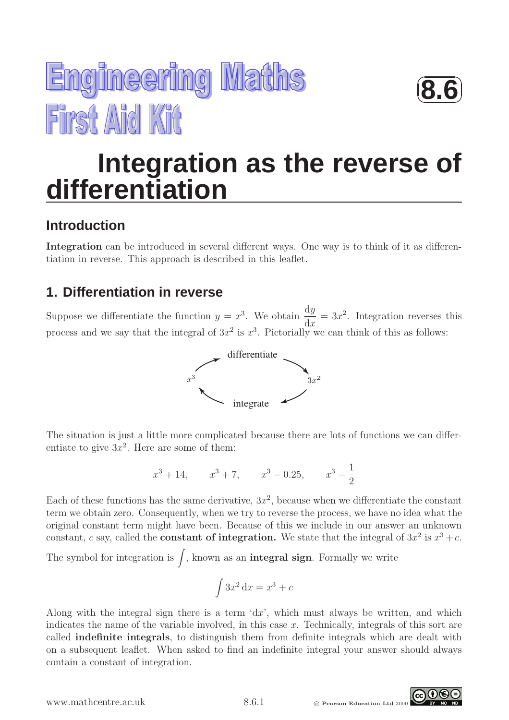



# **Integration as the reverse of differentiation**

## **Introduction**

Integration can be introduced in several different ways. One way is to think of it as differentiation in reverse. This approach is described in this leaflet.

## **1. Differentiation in reverse**

Suppose we differentiate the function  $y = x^3$ . We obtain  $\frac{dy}{dx}$  $dx$  $= 3x^2$ . Integration reverses this process and we say that the integral of  $3x^2$  is  $x^3$ . Pictorially we can think of this as follows:



The situation is just a little more complicated because there are lots of functions we can differentiate to give  $3x^2$ . Here are some of them:

$$
x^3 + 14
$$
,  $x^3 + 7$ ,  $x^3 - 0.25$ ,  $x^3 - \frac{1}{2}$ 

Each of these functions has the same derivative,  $3x^2$ , because when we differentiate the constant term we obtain zero. Consequently, when we try to reverse the process, we have no idea what the original constant term might have been. Because of this we include in our answer an unknown constant, c say, called the **constant of integration.** We state that the integral of  $3x^2$  is  $x^3 + c$ .

The symbol for integration is  $\int$ , known as an **integral sign**. Formally we write

$$
\int 3x^2 \, \mathrm{d}x = x^3 + c
$$

Along with the integral sign there is a term  $dx'$ , which must always be written, and which indicates the name of the variable involved, in this case  $x$ . Technically, integrals of this sort are called indefinite integrals, to distinguish them from definite integrals which are dealt with on a subsequent leaflet. When asked to find an indefinite integral your answer should always contain a constant of integration.